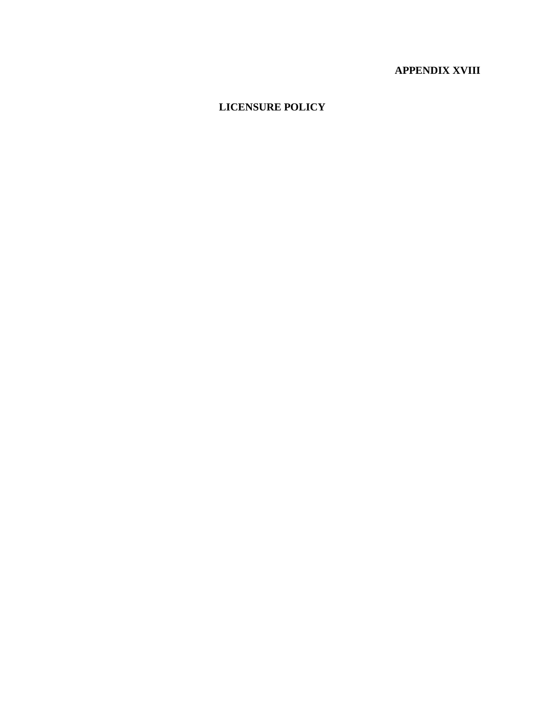# **APPENDIX XVIII**

## **LICENSURE POLICY**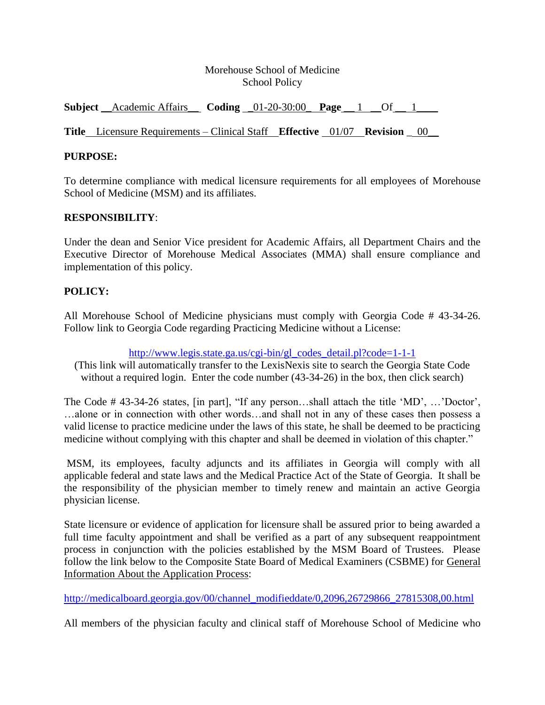## Morehouse School of Medicine School Policy

**Subject** \_\_Academic Affairs\_\_ **Coding** \_01-20-30:00\_ **Page** \_\_ 1 \_\_Of \_\_ 1\_\_\_\_

**Title** Licensure Requirements – Clinical Staff **Effective** 01/07 **Revision** \_ 00\_\_

## **PURPOSE:**

To determine compliance with medical licensure requirements for all employees of Morehouse School of Medicine (MSM) and its affiliates.

#### **RESPONSIBILITY**:

Under the dean and Senior Vice president for Academic Affairs, all Department Chairs and the Executive Director of Morehouse Medical Associates (MMA) shall ensure compliance and implementation of this policy.

## **POLICY:**

All Morehouse School of Medicine physicians must comply with Georgia Code # 43-34-26. Follow link to Georgia Code regarding Practicing Medicine without a License:

[http://www.legis.state.ga.us/cgi-bin/gl\\_codes\\_detail.pl?code=1-1-1](http://search.myway.com/search/redirect.jhtml?qid=3D12FBC368C40FAE3DFB666590BEDFBF&action=pick&pn=1&searchTerm=state+of+georgia+code&ptnrS=SY&st=sb&cb=SY&pg=GGmain&ord=0&redirect=http%3A%2F%2Fwww.legis.state.ga.us%2Fcgi-bin%2Fgl_codes_detail.pl%3Fcode%3D1-1-1&ct=AR)

(This link will automatically transfer to the LexisNexis site to search the Georgia State Code without a required login. Enter the code number (43-34-26) in the box, then click search)

The Code # 43-34-26 states, [in part], "If any person...shall attach the title 'MD', ...'Doctor', …alone or in connection with other words…and shall not in any of these cases then possess a valid license to practice medicine under the laws of this state, he shall be deemed to be practicing medicine without complying with this chapter and shall be deemed in violation of this chapter."

MSM, its employees, faculty adjuncts and its affiliates in Georgia will comply with all applicable federal and state laws and the Medical Practice Act of the State of Georgia. It shall be the responsibility of the physician member to timely renew and maintain an active Georgia physician license.

State licensure or evidence of application for licensure shall be assured prior to being awarded a full time faculty appointment and shall be verified as a part of any subsequent reappointment process in conjunction with the policies established by the MSM Board of Trustees. Please follow the link below to the Composite State Board of Medical Examiners (CSBME) for General Information About the Application Process:

[http://medicalboard.georgia.gov/00/channel\\_modifieddate/0,2096,26729866\\_27815308,00.html](http://medicalboard.georgia.gov/00/channel_modifieddate/0,2096,26729866_27815308,00.html)

All members of the physician faculty and clinical staff of Morehouse School of Medicine who